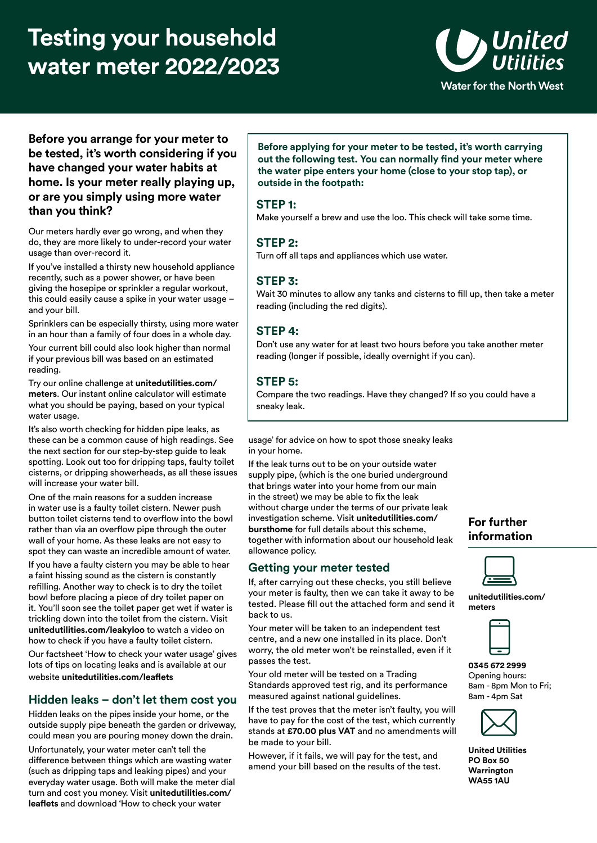# **Testing your household water meter 2022/2023**



**Before you arrange for your meter to be tested, it's worth considering if you have changed your water habits at home. Is your meter really playing up, or are you simply using more water than you think?** 

Our meters hardly ever go wrong, and when they do, they are more likely to under-record your water usage than over-record it.

If you've installed a thirsty new household appliance recently, such as a power shower, or have been giving the hosepipe or sprinkler a regular workout, this could easily cause a spike in your water usage – and your bill.

Sprinklers can be especially thirsty, using more water in an hour than a family of four does in a whole day.

Your current bill could also look higher than normal if your previous bill was based on an estimated reading.

Try our online challenge at **[unitedutilities.com](https://unitedutilities.com/meters)/ [meters](https://unitedutilities.com/meters)**. Our instant online calculator will estimate what you should be paying, based on your typical water usage.

It's also worth checking for hidden pipe leaks, as these can be a common cause of high readings. See the next section for our step-by-step guide to leak spotting. Look out too for dripping taps, faulty toilet cisterns, or dripping showerheads, as all these issues will increase your water bill.

One of the main reasons for a sudden increase in water use is a faulty toilet cistern. Newer push button toilet cisterns tend to overflow into the bowl rather than via an overflow pipe through the outer wall of your home. As these leaks are not easy to spot they can waste an incredible amount of water.

If you have a faulty cistern you may be able to hear a faint hissing sound as the cistern is constantly refilling. Another way to check is to dry the toilet bowl before placing a piece of dry toilet paper on it. You'll soon see the toilet paper get wet if water is trickling down into the toilet from the cistern. Visit **[unitedutilities.com/leakyloo](https://unitedutilities.com/leakyloo)** to watch a video on how to check if you have a faulty toilet cistern.

Our factsheet 'How to check your water usage' gives lots of tips on locating leaks and is available at our website **[unitedutilities.com/leaflets](https://unitedutilities.com/leaflets)**

#### **Hidden leaks – don't let them cost you**

Hidden leaks on the pipes inside your home, or the outside supply pipe beneath the garden or driveway, could mean you are pouring money down the drain.

Unfortunately, your water meter can't tell the difference between things which are wasting water (such as dripping taps and leaking pipes) and your everyday water usage. Both will make the meter dial turn and cost you money. Visit **[unitedutilities.com/](https://unitedutilities.com/leaflets) [leaflets](https://unitedutilities.com/leaflets)** and download 'How to check your water

**Before applying for your meter to be tested, it's worth carrying out the following test. You can normally find your meter where the water pipe enters your home (close to your stop tap), or outside in the footpath:** 

#### **STEP 1:**

Make yourself a brew and use the loo. This check will take some time.

## **STEP 2:**

Turn off all taps and appliances which use water.

#### **STEP 3:**

Wait 30 minutes to allow any tanks and cisterns to fill up, then take a meter reading (including the red digits).

## **STEP 4:**

Don't use any water for at least two hours before you take another meter reading (longer if possible, ideally overnight if you can).

## **STEP 5:**

Compare the two readings. Have they changed? If so you could have a sneaky leak.

usage' for advice on how to spot those sneaky leaks in your home.

If the leak turns out to be on your outside water supply pipe, (which is the one buried underground that brings water into your home from our main in the street) we may be able to fix the leak without charge under the terms of our private leak investigation scheme. Visit **[unitedutilities.com/](https://unitedutilities.com/bursthome) [bursthome](https://unitedutilities.com/bursthome)** for full details about this scheme, together with information about our household leak allowance policy.

#### **Getting your meter tested**

If, after carrying out these checks, you still believe your meter is faulty, then we can take it away to be tested. Please fill out the attached form and send it back to us.

Your meter will be taken to an independent test centre, and a new one installed in its place. Don't worry, the old meter won't be reinstalled, even if it passes the test.

Your old meter will be tested on a Trading Standards approved test rig, and its performance measured against national guidelines.

If the test proves that the meter isn't faulty, you will have to pay for the cost of the test, which currently stands at **£70.00 plus VAT** and no amendments will be made to your bill.

However, if it fails, we will pay for the test, and amend your bill based on the results of the test.

## **For further information**



**[unitedutilities.com](https://unitedutilities.com/meters)/ [meters](https://unitedutilities.com/meters)** 



**0345 672 2999**  Opening hours: 8am - 8pm Mon to Fri: 8am - 4pm Sat



**United Utilities PO Box 50 Warrington WA55 1AU**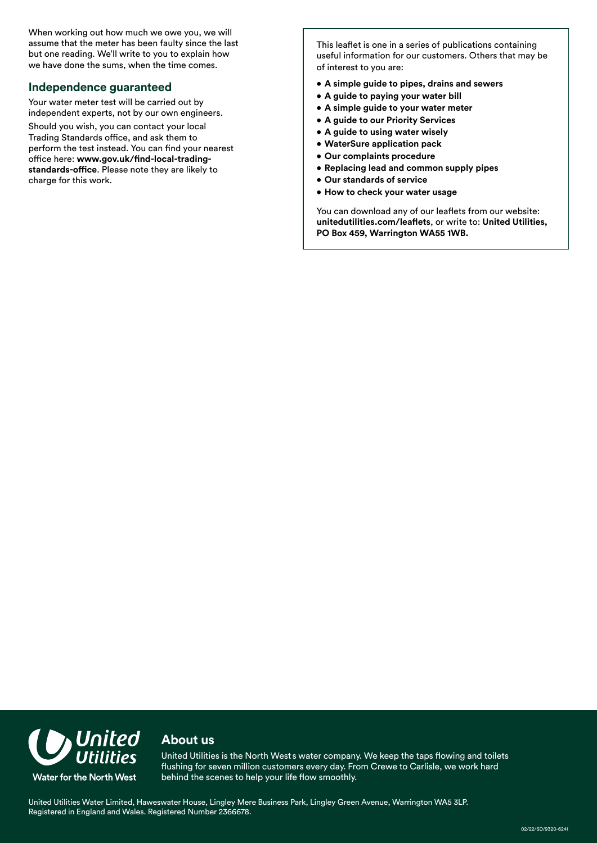When working out how much we owe you, we will assume that the meter has been faulty since the last but one reading. We'll write to you to explain how we have done the sums, when the time comes.

#### **Independence guaranteed**

Your water meter test will be carried out by independent experts, not by our own engineers.

Should you wish, you can contact your local Trading Standards office, and ask them to perform the test instead. You can find your nearest office here: **[www.gov.uk/find-local-trading](www.gov.uk/find-local-trading-standards-office)[standards-office](www.gov.uk/find-local-trading-standards-office)**. Please note they are likely to charge for this work.

This leaflet is one in a series of publications containing useful information for our customers. Others that may be of interest to you are:

- **A simple guide to pipes, drains and sewers**
- **A guide to paying your water bill**
- **A simple guide to your water meter**
- **A guide to our Priority Services**
- **A guide to using water wisely**
- **WaterSure application pack**
- **Our complaints procedure**
- **Replacing lead and common supply pipes**
- **Our standards of service**
- **How to check your water usage**

You can download any of our leaflets from our website: **[unitedutilities.com/leaflets](https://unitedutilities.com/leaflets)**, or write to: **United Utilities, PO Box 459, Warrington WA55 1WB.** 



## **About us**

' United Utilities is the North West s water company. We keep the taps flowing and toilets flushing for seven million customers every day. From Crewe to Carlisle, we work hard behind the scenes to help your life flow smoothly.

United Utilities Water Limited, Haweswater House, Lingley Mere Business Park, Lingley Green Avenue, Warrington WA5 3LP. Registered in England and Wales. Registered Number 2366678.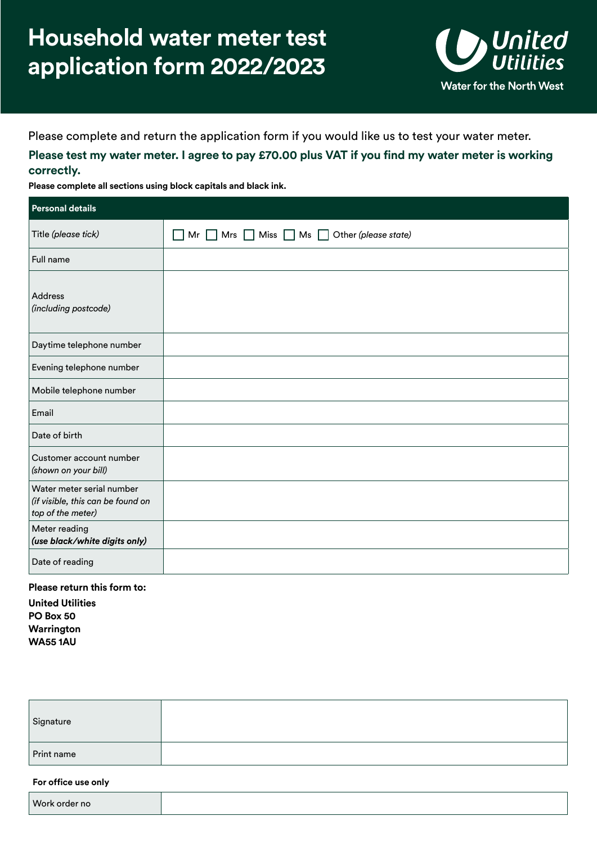## **Household water meter test application form 2022/2023**



Please complete and return the application form if you would like us to test your water meter.

**Please test my water meter. I agree to pay £70.00 plus VAT if you find my water meter is working correctly.** 

**Please complete all sections using block capitals and black ink.** 

| <b>Personal details</b>                                                             |                                                                        |
|-------------------------------------------------------------------------------------|------------------------------------------------------------------------|
| Title (please tick)                                                                 | $\Box$ Mr $\Box$ Mrs $\Box$ Miss $\Box$ Ms $\Box$ Other (please state) |
| Full name                                                                           |                                                                        |
| Address<br>(including postcode)                                                     |                                                                        |
| Daytime telephone number                                                            |                                                                        |
| Evening telephone number                                                            |                                                                        |
| Mobile telephone number                                                             |                                                                        |
| Email                                                                               |                                                                        |
| Date of birth                                                                       |                                                                        |
| Customer account number<br>(shown on your bill)                                     |                                                                        |
| Water meter serial number<br>(if visible, this can be found on<br>top of the meter) |                                                                        |
| Meter reading<br>(use black/white digits only)                                      |                                                                        |
| Date of reading                                                                     |                                                                        |

#### **Please return this form to:**

**United Utilities PO Box 50 Warrington WA55 1AU** 

| Signature  |  |
|------------|--|
| Print name |  |

#### **For office use only**

| <b>Work</b><br>тю |
|-------------------|
|-------------------|